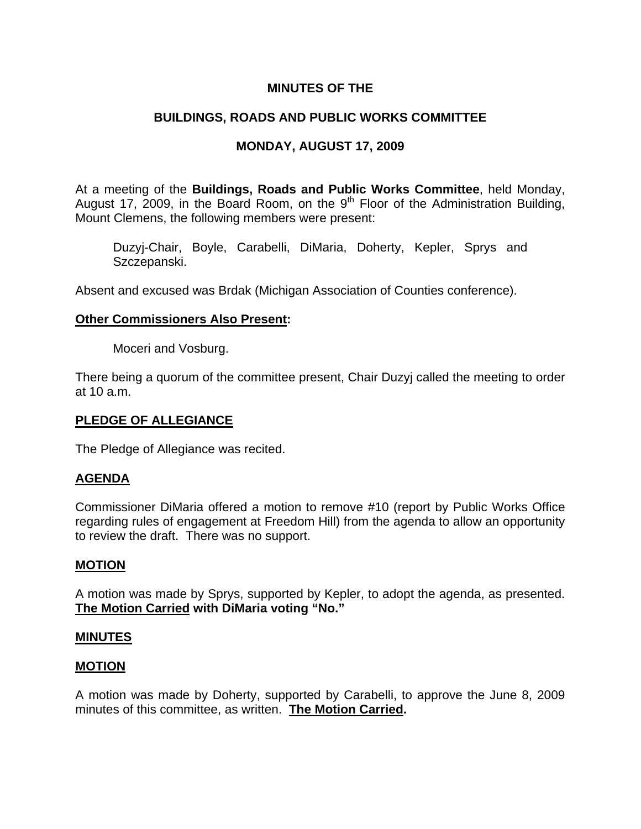# **MINUTES OF THE**

# **BUILDINGS, ROADS AND PUBLIC WORKS COMMITTEE**

# **MONDAY, AUGUST 17, 2009**

At a meeting of the **Buildings, Roads and Public Works Committee**, held Monday, August 17, 2009, in the Board Room, on the  $9<sup>th</sup>$  Floor of the Administration Building, Mount Clemens, the following members were present:

Duzyj-Chair, Boyle, Carabelli, DiMaria, Doherty, Kepler, Sprys and Szczepanski.

Absent and excused was Brdak (Michigan Association of Counties conference).

# **Other Commissioners Also Present:**

Moceri and Vosburg.

There being a quorum of the committee present, Chair Duzyj called the meeting to order at 10 a.m.

## **PLEDGE OF ALLEGIANCE**

The Pledge of Allegiance was recited.

## **AGENDA**

Commissioner DiMaria offered a motion to remove #10 (report by Public Works Office regarding rules of engagement at Freedom Hill) from the agenda to allow an opportunity to review the draft. There was no support.

## **MOTION**

A motion was made by Sprys, supported by Kepler, to adopt the agenda, as presented. **The Motion Carried with DiMaria voting "No."** 

## **MINUTES**

## **MOTION**

A motion was made by Doherty, supported by Carabelli, to approve the June 8, 2009 minutes of this committee, as written. **The Motion Carried.**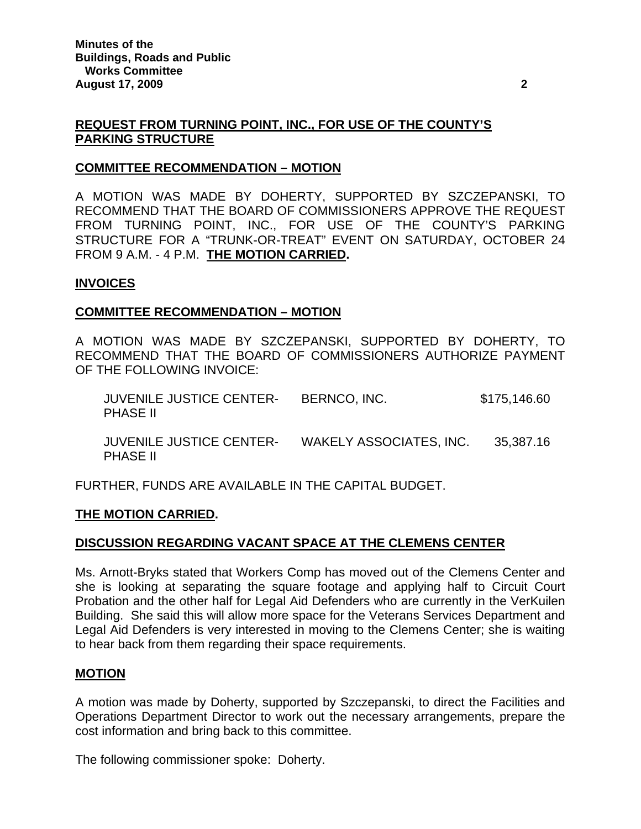# **REQUEST FROM TURNING POINT, INC., FOR USE OF THE COUNTY'S PARKING STRUCTURE**

## **COMMITTEE RECOMMENDATION – MOTION**

A MOTION WAS MADE BY DOHERTY, SUPPORTED BY SZCZEPANSKI, TO RECOMMEND THAT THE BOARD OF COMMISSIONERS APPROVE THE REQUEST FROM TURNING POINT, INC., FOR USE OF THE COUNTY'S PARKING STRUCTURE FOR A "TRUNK-OR-TREAT" EVENT ON SATURDAY, OCTOBER 24 FROM 9 A.M. - 4 P.M. **THE MOTION CARRIED.** 

#### **INVOICES**

#### **COMMITTEE RECOMMENDATION – MOTION**

A MOTION WAS MADE BY SZCZEPANSKI, SUPPORTED BY DOHERTY, TO RECOMMEND THAT THE BOARD OF COMMISSIONERS AUTHORIZE PAYMENT OF THE FOLLOWING INVOICE:

| <b>JUVENILE JUSTICE CENTER-</b> | BERNCO, INC.                | \$175,146.60 |
|---------------------------------|-----------------------------|--------------|
| <b>PHASE II</b>                 |                             |              |
| . <del></del> .<br>-- - - -     | . _ <b>.</b> _ _ _ <b>.</b> |              |

 JUVENILE JUSTICE CENTER- WAKELY ASSOCIATES, INC. 35,387.16 PHASE II

FURTHER, FUNDS ARE AVAILABLE IN THE CAPITAL BUDGET.

## **THE MOTION CARRIED.**

## **DISCUSSION REGARDING VACANT SPACE AT THE CLEMENS CENTER**

Ms. Arnott-Bryks stated that Workers Comp has moved out of the Clemens Center and she is looking at separating the square footage and applying half to Circuit Court Probation and the other half for Legal Aid Defenders who are currently in the VerKuilen Building. She said this will allow more space for the Veterans Services Department and Legal Aid Defenders is very interested in moving to the Clemens Center; she is waiting to hear back from them regarding their space requirements.

## **MOTION**

A motion was made by Doherty, supported by Szczepanski, to direct the Facilities and Operations Department Director to work out the necessary arrangements, prepare the cost information and bring back to this committee.

The following commissioner spoke: Doherty.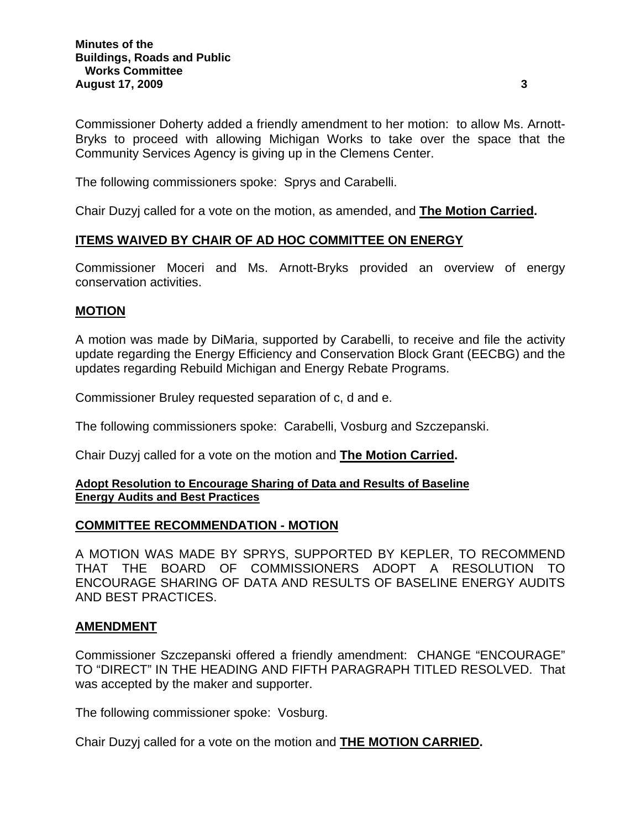Commissioner Doherty added a friendly amendment to her motion: to allow Ms. Arnott-Bryks to proceed with allowing Michigan Works to take over the space that the Community Services Agency is giving up in the Clemens Center.

The following commissioners spoke: Sprys and Carabelli.

Chair Duzyj called for a vote on the motion, as amended, and **The Motion Carried.** 

## **ITEMS WAIVED BY CHAIR OF AD HOC COMMITTEE ON ENERGY**

Commissioner Moceri and Ms. Arnott-Bryks provided an overview of energy conservation activities.

## **MOTION**

A motion was made by DiMaria, supported by Carabelli, to receive and file the activity update regarding the Energy Efficiency and Conservation Block Grant (EECBG) and the updates regarding Rebuild Michigan and Energy Rebate Programs.

Commissioner Bruley requested separation of c, d and e.

The following commissioners spoke: Carabelli, Vosburg and Szczepanski.

Chair Duzyj called for a vote on the motion and **The Motion Carried.** 

#### **Adopt Resolution to Encourage Sharing of Data and Results of Baseline Energy Audits and Best Practices**

## **COMMITTEE RECOMMENDATION - MOTION**

A MOTION WAS MADE BY SPRYS, SUPPORTED BY KEPLER, TO RECOMMEND THAT THE BOARD OF COMMISSIONERS ADOPT A RESOLUTION TO ENCOURAGE SHARING OF DATA AND RESULTS OF BASELINE ENERGY AUDITS AND BEST PRACTICES.

## **AMENDMENT**

Commissioner Szczepanski offered a friendly amendment: CHANGE "ENCOURAGE" TO "DIRECT" IN THE HEADING AND FIFTH PARAGRAPH TITLED RESOLVED. That was accepted by the maker and supporter.

The following commissioner spoke: Vosburg.

Chair Duzyj called for a vote on the motion and **THE MOTION CARRIED.**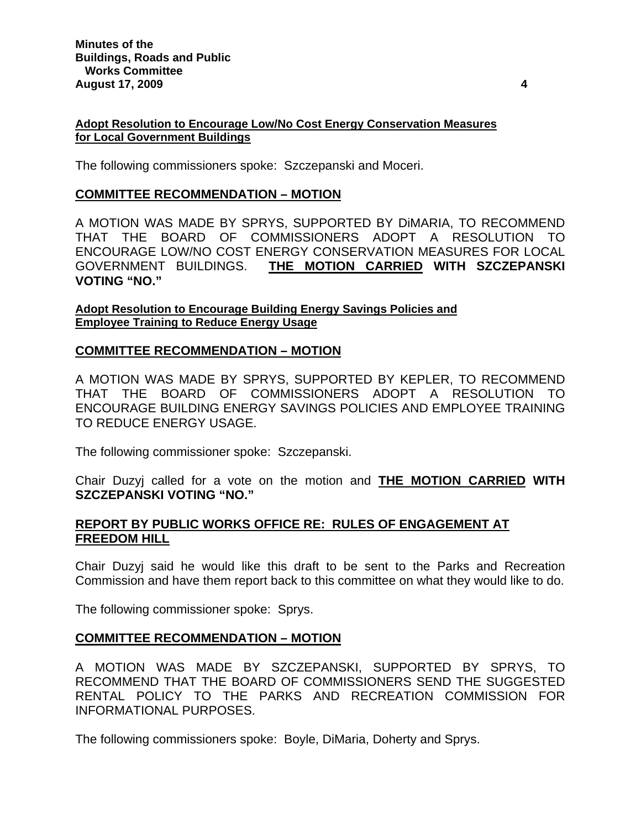#### **Adopt Resolution to Encourage Low/No Cost Energy Conservation Measures for Local Government Buildings**

The following commissioners spoke: Szczepanski and Moceri.

## **COMMITTEE RECOMMENDATION – MOTION**

A MOTION WAS MADE BY SPRYS, SUPPORTED BY DiMARIA, TO RECOMMEND THAT THE BOARD OF COMMISSIONERS ADOPT A RESOLUTION TO ENCOURAGE LOW/NO COST ENERGY CONSERVATION MEASURES FOR LOCAL GOVERNMENT BUILDINGS. **THE MOTION CARRIED WITH SZCZEPANSKI VOTING "NO."** 

**Adopt Resolution to Encourage Building Energy Savings Policies and Employee Training to Reduce Energy Usage**

## **COMMITTEE RECOMMENDATION – MOTION**

A MOTION WAS MADE BY SPRYS, SUPPORTED BY KEPLER, TO RECOMMEND THAT THE BOARD OF COMMISSIONERS ADOPT A RESOLUTION TO ENCOURAGE BUILDING ENERGY SAVINGS POLICIES AND EMPLOYEE TRAINING TO REDUCE ENERGY USAGE.

The following commissioner spoke: Szczepanski.

Chair Duzyj called for a vote on the motion and **THE MOTION CARRIED WITH SZCZEPANSKI VOTING "NO."**

## **REPORT BY PUBLIC WORKS OFFICE RE: RULES OF ENGAGEMENT AT FREEDOM HILL**

Chair Duzyj said he would like this draft to be sent to the Parks and Recreation Commission and have them report back to this committee on what they would like to do.

The following commissioner spoke: Sprys.

## **COMMITTEE RECOMMENDATION – MOTION**

A MOTION WAS MADE BY SZCZEPANSKI, SUPPORTED BY SPRYS, TO RECOMMEND THAT THE BOARD OF COMMISSIONERS SEND THE SUGGESTED RENTAL POLICY TO THE PARKS AND RECREATION COMMISSION FOR INFORMATIONAL PURPOSES.

The following commissioners spoke: Boyle, DiMaria, Doherty and Sprys.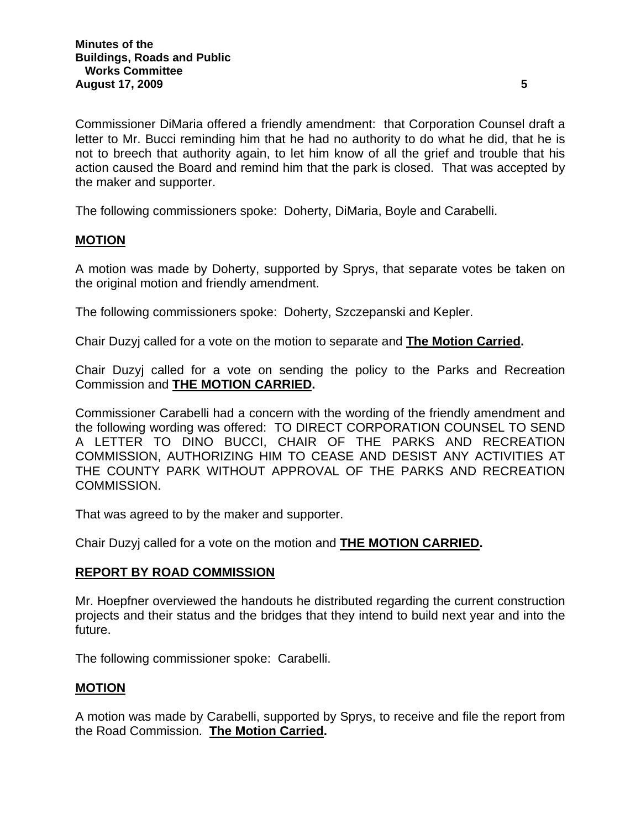Commissioner DiMaria offered a friendly amendment: that Corporation Counsel draft a letter to Mr. Bucci reminding him that he had no authority to do what he did, that he is not to breech that authority again, to let him know of all the grief and trouble that his action caused the Board and remind him that the park is closed. That was accepted by the maker and supporter.

The following commissioners spoke: Doherty, DiMaria, Boyle and Carabelli.

# **MOTION**

A motion was made by Doherty, supported by Sprys, that separate votes be taken on the original motion and friendly amendment.

The following commissioners spoke: Doherty, Szczepanski and Kepler.

Chair Duzyj called for a vote on the motion to separate and **The Motion Carried.** 

Chair Duzyj called for a vote on sending the policy to the Parks and Recreation Commission and **THE MOTION CARRIED.** 

Commissioner Carabelli had a concern with the wording of the friendly amendment and the following wording was offered: TO DIRECT CORPORATION COUNSEL TO SEND A LETTER TO DINO BUCCI, CHAIR OF THE PARKS AND RECREATION COMMISSION, AUTHORIZING HIM TO CEASE AND DESIST ANY ACTIVITIES AT THE COUNTY PARK WITHOUT APPROVAL OF THE PARKS AND RECREATION COMMISSION.

That was agreed to by the maker and supporter.

Chair Duzyj called for a vote on the motion and **THE MOTION CARRIED.** 

## **REPORT BY ROAD COMMISSION**

Mr. Hoepfner overviewed the handouts he distributed regarding the current construction projects and their status and the bridges that they intend to build next year and into the future.

The following commissioner spoke: Carabelli.

## **MOTION**

A motion was made by Carabelli, supported by Sprys, to receive and file the report from the Road Commission. **The Motion Carried.**